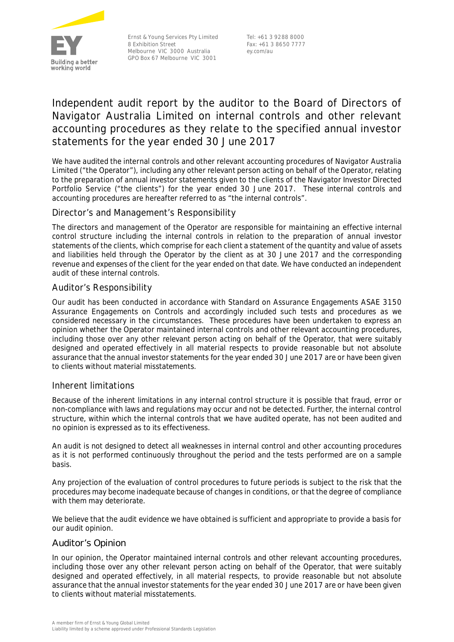

Ernst & Young Services Pty Limited 8 Exhibition Street Melbourne VIC 3000 Australia GPO Box 67 Melbourne VIC 3001

Tel: +61 3 9288 8000 Fax: +61 3 8650 7777 ey.com/au

# **Independent audit report by the auditor to the Board of Directors of Navigator Australia Limited on internal controls and other relevant accounting procedures as they relate to the specified annual investor statements for the year ended 30 June 2017**

We have audited the internal controls and other relevant accounting procedures of Navigator Australia Limited ("the Operator"), including any other relevant person acting on behalf of the Operator, relating to the preparation of annual investor statements given to the clients of the Navigator Investor Directed Portfolio Service ("the clients") for the year ended 30 June 2017. These internal controls and accounting procedures are hereafter referred to as "the internal controls".

## *Director's and Management's Responsibility*

The directors and management of the Operator are responsible for maintaining an effective internal control structure including the internal controls in relation to the preparation of annual investor statements of the clients, which comprise for each client a statement of the quantity and value of assets and liabilities held through the Operator by the client as at 30 June 2017 and the corresponding revenue and expenses of the client for the year ended on that date. We have conducted an independent audit of these internal controls.

## *Auditor's Responsibility*

Our audit has been conducted in accordance with Standard on Assurance Engagements ASAE 3150 *Assurance Engagements on Controls* and accordingly included such tests and procedures as we considered necessary in the circumstances. These procedures have been undertaken to express an opinion whether the Operator maintained internal controls and other relevant accounting procedures, including those over any other relevant person acting on behalf of the Operator, that were suitably designed and operated effectively in all material respects to provide reasonable but not absolute assurance that the annual investor statements for the year ended 30 June 2017 are or have been given to clients without material misstatements.

#### *Inherent limitations*

Because of the inherent limitations in any internal control structure it is possible that fraud, error or non-compliance with laws and regulations may occur and not be detected. Further, the internal control structure, within which the internal controls that we have audited operate, has not been audited and no opinion is expressed as to its effectiveness.

An audit is not designed to detect all weaknesses in internal control and other accounting procedures as it is not performed continuously throughout the period and the tests performed are on a sample basis.

Any projection of the evaluation of control procedures to future periods is subject to the risk that the procedures may become inadequate because of changes in conditions, or that the degree of compliance with them may deteriorate.

We believe that the audit evidence we have obtained is sufficient and appropriate to provide a basis for our audit opinion.

#### Auditor's Opinion

In our opinion, the Operator maintained internal controls and other relevant accounting procedures, including those over any other relevant person acting on behalf of the Operator, that were suitably designed and operated effectively, in all material respects, to provide reasonable but not absolute assurance that the annual investor statements for the year ended 30 June 2017 are or have been given to clients without material misstatements.